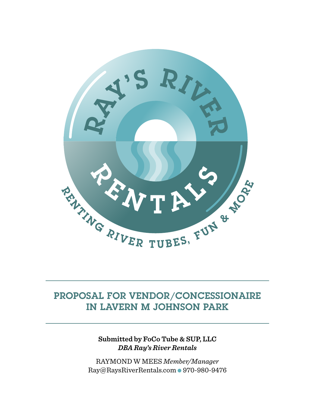

# PROPOSAL FOR VENDOR/CONCESSIONAIRE IN LAVERN M JOHNSON PARK

**Submitted by FoCo Tube & SUP, LLC**  *DBA Ray's River Rentals*

RAYMOND W MEES *Member/Manager* Ray@RaysRiverRentals.com ● 970-980-9476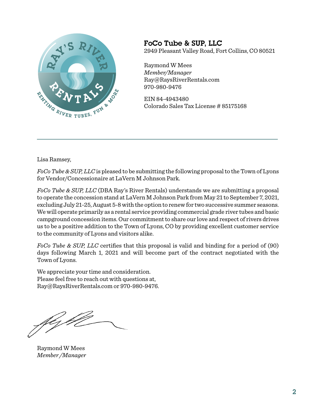

### FoCo Tube & SUP, LLC 2949 Pleasant Valley Road, Fort Collins, CO 80521

Raymond W Mees *Member/Manager*  Ray@RaysRiverRentals.com 970-980-9476

EIN 84-4943480 Colorado Sales Tax License # 85175168

Lisa Ramsey,

*FoCo Tube & SUP, LLC* is pleased to be submitting the following proposal to the Town of Lyons for Vendor/Concessionaire at LaVern M Johnson Park.

*FoCo Tube & SUP, LLC* (DBA Ray's River Rentals) understands we are submitting a proposal to operate the concession stand at LaVern M Johnson Park from May 21 to September 7, 2021, excluding July 21-25, August 5-8 with the option to renew for two successive summer seasons. We will operate primarily as a rental service providing commercial grade river tubes and basic campground concession items. Our commitment to share our love and respect of rivers drives us to be a positive addition to the Town of Lyons, CO by providing excellent customer service to the community of Lyons and visitors alike.

*FoCo Tube & SUP, LLC* certifies that this proposal is valid and binding for a period of (90) days following March 1, 2021 and will become part of the contract negotiated with the Town of Lyons.

We appreciate your time and consideration. Please feel free to reach out with questions at, Ray@RaysRiverRentals.com or 970-980-9476.

féz p

Raymond W Mees *Member /Manager*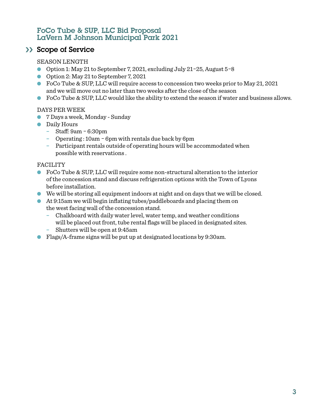### FoCo Tube & SUP, LLC Bid Proposal LaVern M Johnson Municipal Park 2021

### >> Scope of Service

#### SEASON LENGTH

- Option 1: May 21 to September 7, 2021, excluding July 21*-*25, August 5*-*8
- Option 2: May 21 to September 7, 2021
- FoCo Tube & SUP, LLC will require access to concession two weeks prior to May 21, 2021 and we will move out no later than two weeks after the close of the season
- $\bullet$  FoCo Tube & SUP, LLC would like the ability to extend the season if water and business allows.

#### DAYS PER WEEK

- 7 Days a week, Monday Sunday
- Daily Hours
	- − Staff: 9am *-* 6:30pm
	- − Operating : 10am *-* 6pm with rentals due back by 6pm
	- − Participant rentals outside of operating hours will be accommodated when possible with reservations .

#### FACILITY

- FoCo Tube & SUP, LLC will require some non-structural alteration to the interior of the concession stand and discuss refrigeration options with the Town of Lyons before installation.
- We will be storing all equipment indoors at night and on days that we will be closed.
- At 9:15am we will begin inflating tubes/paddleboards and placing them on the west facing wall of the concession stand.
	- − Chalkboard with daily water level, water temp, and weather conditions will be placed out front, tube rental flags will be placed in designated sites. − Shutters will be open at 9:45am
- Flags/A-frame signs will be put up at designated locations by 9:30am.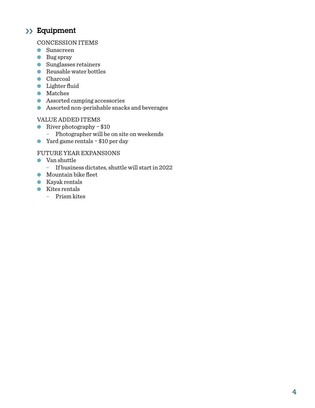## Equipment ››

#### CONCESSION ITEMS

- Sunscreen
- Bug spray
- Sunglasses retainers
- Reusable water bottles
- Charcoal
- Lighter fluid
- Matches
- Assorted camping accessories
- Assorted non-perishable snacks and beverages

#### VALUE ADDED ITEMS

- River photography *-* \$10
	- − Photographer will be on site on weekends
- Yard game rentals *-* \$10 per day

### FUTURE YEAR EXPANSIONS

- Van shuttle
	- − If business dictates, shuttle will start in 2022
- Mountain bike fleet
- Kayak rentals
- Kites rentals
	- − Prism kites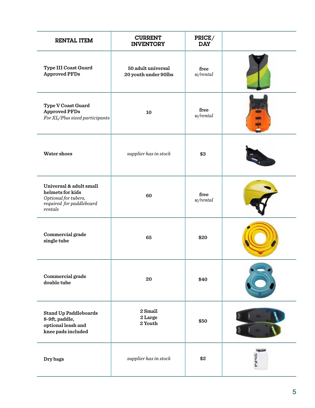| <b>RENTAL ITEM</b>                                                                                         | <b>CURRENT</b><br><b>INVENTORY</b>         | PRICE/<br><b>DAY</b> |  |
|------------------------------------------------------------------------------------------------------------|--------------------------------------------|----------------------|--|
| Type III Coast Guard<br><b>Approved PFDs</b>                                                               | 50 adult universal<br>20 youth under 90lbs | free<br>w/rental     |  |
| <b>Type V Coast Guard</b><br><b>Approved PFDs</b><br>For XL/Plus sized participants                        | 10                                         | free<br>w/rental     |  |
| Water shoes                                                                                                | $supplier$ has in stock                    | \$3                  |  |
| Universal & adult small<br>helmets for kids<br>Optional for tubers,<br>required for paddleboard<br>rentals | 60                                         | free<br>w/rental     |  |
| Commercial grade<br>single tube                                                                            | 65                                         | \$20                 |  |
| Commercial grade<br>double tube                                                                            | 20                                         | \$40                 |  |
| <b>Stand Up Paddleboards</b><br>8-9ft, paddle,<br>optional leash and<br>knee pads included                 | 2 Small<br>2 Large<br>2 Youth              | \$50                 |  |
| Dry bags                                                                                                   | $supplier$ has in stock                    | \$2                  |  |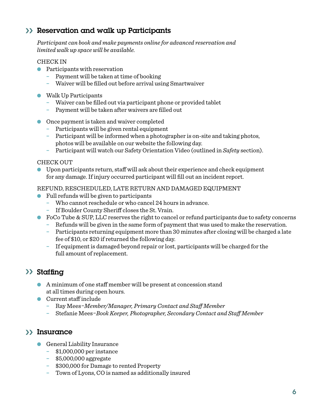## Reservation and walk up Participants ››

*Participant can book and make payments online for advanced reservation and limited walk up space will be available.*

#### CHECK IN

- **●** Participants with reservation
	- − Payment will be taken at time of booking
	- − Waiver will be filled out before arrival using Smartwaiver
- Walk Up Participants
	- − Waiver can be filled out via participant phone or provided tablet
	- − Payment will be taken after waivers are filled out
- Once payment is taken and waiver completed
	- − Participants will be given rental equipment
	- − Participant will be informed when a photographer is on-site and taking photos, photos will be available on our website the following day.
	- − Participant will watch our Safety Orientation Video (outlined in *Safety* section).

#### CHECK OUT

● Upon participants return, staff will ask about their experience and check equipment for any damage. If injury occurred participant will fill out an incident report.

REFUND, RESCHEDULED, LATE RETURN AND DAMAGED EQUIPMENT

- Full refunds will be given to participants
	- − Who cannot reschedule or who cancel 24 hours in advance.
	- − If Boulder County Sheriff closes the St. Vrain.
- FoCo Tube & SUP, LLC reserves the right to cancel or refund participants due to safety concerns
	- − Refunds will be given in the same form of payment that was used to make the reservation.
	- − Participants returning equipment more than 30 minutes after closing will be charged a late fee of \$10, or \$20 if returned the following day.
	- − If equipment is damaged beyond repair or lost, participants will be charged for the full amount of replacement.

## >> Staffing

- A minimum of one staff member will be present at concession stand at all times during open hours.
- Current staff include
	- − Ray Mees*-Member/Manager, Primary Contact and Staff Member*
	- − Stefanie Mees*-Book Keeper, Photographer, Secondary Contact and Staff Member*

### Insurance ››

- General Liability Insurance
	- − \$1,000,000 per instance
	- − \$5,000,000 aggregate
	- − \$300,000 for Damage to rented Property
	- − Town of Lyons, CO is named as additionally insured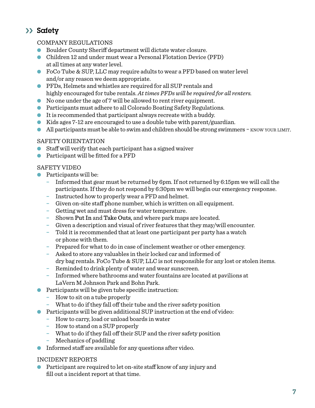## >> Safety

### COMPANY REGULATIONS

- Boulder County Sheriff department will dictate water closure.
- Children 12 and under must wear a Personal Flotation Device (PFD) at all times at any water level.
- FoCo Tube & SUP, LLC may require adults to wear a PFD based on water level and/or any reason we deem appropriate.
- PFDs, Helmets and whistles are required for all SUP rentals and highly encouraged for tube rentals. *At times PFDs will be required for all renters.*
- No one under the age of 7 will be allowed to rent river equipment.
- Participants must adhere to all Colorado Boating Safety Regulations.
- It is recommended that participant always recreate with a buddy.
- Kids ages 7-12 are encouraged to use a double tube with parent/guardian.
- All participants must be able to swim and children should be strong swimmers  $-$  know your LIMIT.

#### SAFETY ORIENTATION

- Staff will verify that each participant has a signed waiver
- Participant will be fitted for a PFD

#### SAFETY VIDEO

- Participants will be:
	- − Informed that gear must be returned by 6pm. If not returned by 6:15pm we will call the participants. If they do not respond by 6:30pm we will begin our emergency response.
	- − Instructed how to properly wear a PFD and helmet.
	- − Given on-site staff phone number, which is written on all equipment.
	- − Getting wet and must dress for water temperature.
	- − Shown Put In and Take Outs, and where park maps are located.
	- − Given a description and visual of river features that they may/will encounter.
	- − Told it is recommended that at least one participant per party has a watch or phone with them.
	- − Prepared for what to do in case of inclement weather or other emergency.
	- − Asked to store any valuables in their locked car and informed of dry bag rentals. FoCo Tube & SUP, LLC is not responsible for any lost or stolen items.
	- − Reminded to drink plenty of water and wear sunscreen.
	- − Informed where bathrooms and water fountains are located at pavilions at LaVern M Johnson Park and Bohn Park.
- Participants will be given tube specific instruction:
	- − How to sit on a tube properly
	- − What to do if they fall off their tube and the river safety position
- Participants will be given additional SUP instruction at the end of video:
	- − How to carry, load or unload boards in water
	- − How to stand on a SUP properly
	- − What to do if they fall off their SUP and the river safety position
	- − Mechanics of paddling
- Informed staff are available for any questions after video.

### INCIDENT REPORTS

● Participant are required to let on-site staff know of any injury and fill out a incident report at that time.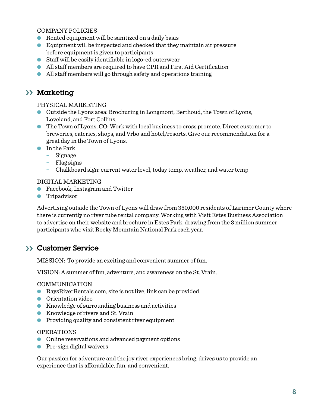#### COMPANY POLICIES

- $\bullet$  Rented equipment will be sanitized on a daily basis
- Equipment will be inspected and checked that they maintain air pressure before equipment is given to participants
- Staff will be easily identifiable in logo-ed outerwear
- All staff members are required to have CPR and First Aid Certification
- All staff members will go through safety and operations training

## >> Marketing

#### PHYSICAL MARKETING

- Outside the Lyons area: Brochuring in Longmont, Berthoud, the Town of Lyons, Loveland, and Fort Collins.
- The Town of Lyons, CO: Work with local business to cross promote. Direct customer to breweries, eateries, shops, and Vrbo and hotel/resorts. Give our recommendation for a great day in the Town of Lyons.
- In the Park
	- − Signage
	- − Flag signs
	- − Chalkboard sign: current water level, today temp, weather, and water temp

#### DIGITAL MARKETING

- Facebook, Instagram and Twitter
- **•** Tripadvisor

Advertising outside the Town of Lyons will draw from 350,000 residents of Larimer County where there is currently no river tube rental company. Working with Visit Estes Business Association to advertise on their website and brochure in Estes Park, drawing from the 3 million summer participants who visit Rocky Mountain National Park each year.

### >> Customer Service

MISSION: To provide an exciting and convenient summer of fun.

VISION: A summer of fun, adventure, and awareness on the St. Vrain.

#### COMMUNICATION

- RaysRiverRentals.com, site is not live, link can be provided.
- Orientation video
- Knowledge of surrounding business and activities
- Knowledge of rivers and St. Vrain
- Providing quality and consistent river equipment

#### OPERATIONS

- Online reservations and advanced payment options
- Pre-sign digital waivers

Our passion for adventure and the joy river experiences bring, drives us to provide an experience that is afforadable, fun, and convenient.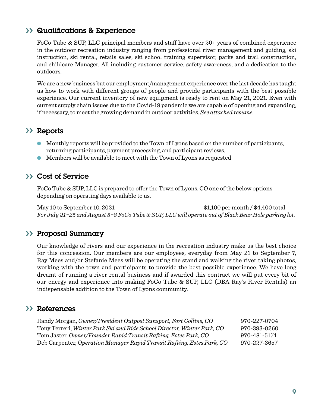### >> Qualifications & Experience

FoCo Tube & SUP, LLC principal members and staff have over 20+ years of combined experience in the outdoor recreation industry ranging from professional river management and guiding, ski instruction, ski rental, retails sales, ski school training supervisor, parks and trail construction, and childcare Manager. All including customer service, safety awareness, and a dedication to the outdoors.

We are a new business but our employment/management experience over the last decade has taught us how to work with different groups of people and provide participants with the best possible experience. Our current inventory of new equipment is ready to rent on May 21, 2021. Even with current supply chain issues due to the Covid-19 pandemic we are capable of opening and expanding, if necessary, to meet the growing demand in outdoor activities. *See attached resume.*

### >> Reports

- Monthly reports will be provided to the Town of Lyons based on the number of participants, returning participants, payment processing, and participant reviews.
- Members will be available to meet with the Town of Lyons as requested

### >> Cost of Service

FoCo Tube & SUP, LLC is prepared to offer the Town of Lyons, CO one of the below options depending on operating days available to us.

May 10 to September 10, 2021 \$1,100 per month / \$4,400 total *For July 21-25 and August 5-8 FoCo Tube & SUP, LLC will operate out of Black Bear Hole parking lot.*

### >> Proposal Summary

Our knowledge of rivers and our experience in the recreation industry make us the best choice for this concession. Our members are our employees, everyday from May 21 to September 7, Ray Mees and/or Stefanie Mees will be operating the stand and walking the river taking photos, working with the town and participants to provide the best possible experience. We have long dreamt of running a river rental business and if awarded this contract we will put every bit of our energy and experience into making FoCo Tube & SUP, LLC (DBA Ray's River Rentals) an indispensable addition to the Town of Lyons community.

### >> References

| Randy Morgan, Owner/President Outpost Sunsport, Fort Collins, CO        | 970-227-0704 |
|-------------------------------------------------------------------------|--------------|
| Tony Terreri, Winter Park Ski and Ride School Director, Winter Park, CO | 970-393-0260 |
| Tom Jaster, Owner/Founder Rapid Transit Rafting, Estes Park, CO         | 970-481-5174 |
| Deb Carpenter, Operation Manager Rapid Transit Rafting, Estes Park, CO  | 970-227-3657 |